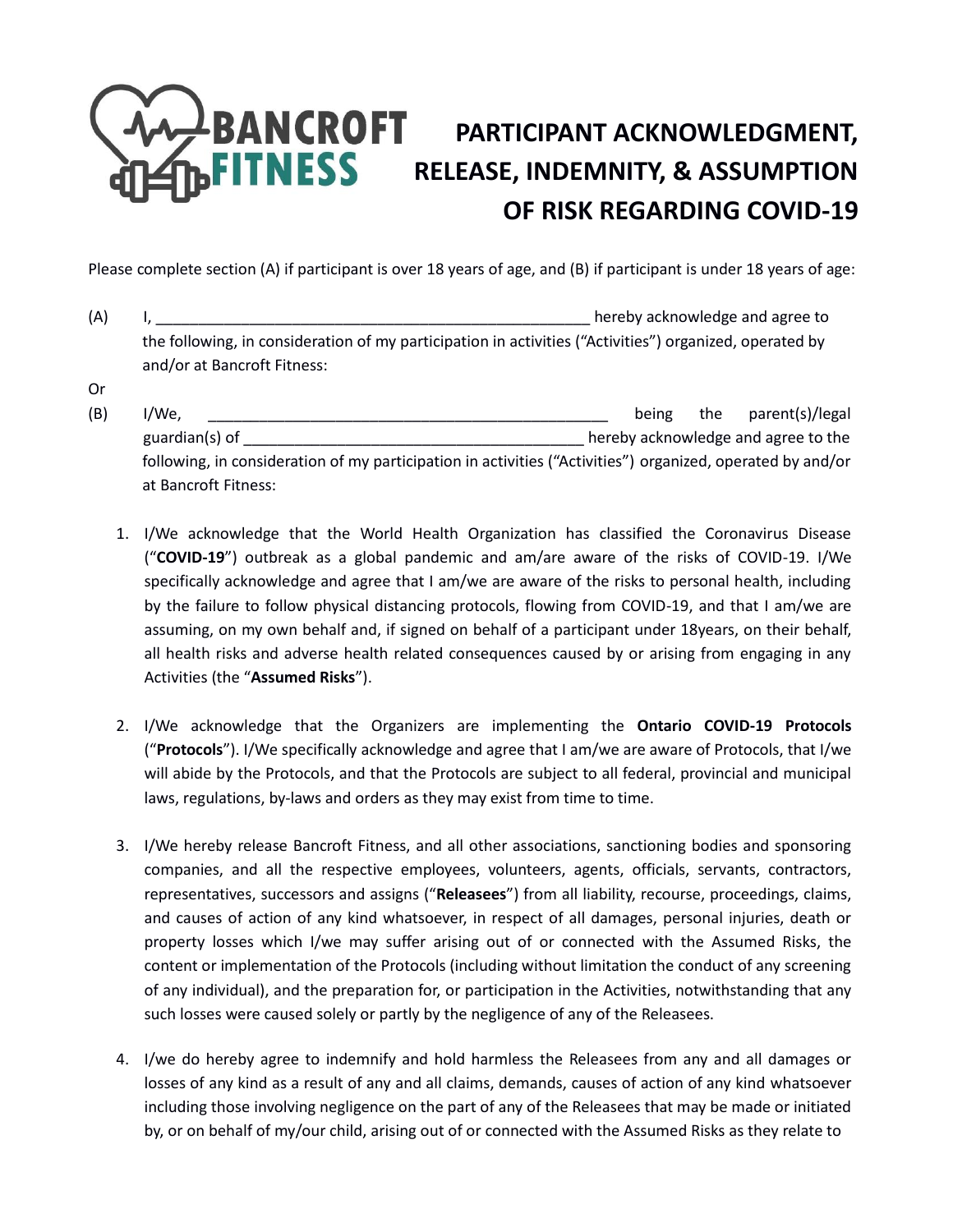## **PANCROFT** PARTICIPANT ACKNOWLEDGMENT, **FITNESS** RELEASE, INDEMNITY, & ASSUMPTION **OF RISK REGARDING COVID-19**

Please complete section (A) if participant is over 18 years of age, and (B) if participant is under 18 years of age:

(A) I, \_\_\_\_\_\_\_\_\_\_\_\_\_\_\_\_\_\_\_\_\_\_\_\_\_\_\_\_\_\_\_\_\_\_\_\_\_\_\_\_\_\_\_\_\_\_\_\_\_\_\_ hereby acknowledge and agree to the following, in consideration of my participation in activities ("Activities") organized, operated by and/or at Bancroft Fitness:

Or

- (B) I/We, the parent of the parent of the parent of the parent of the parent of the parent of the parent of the parent of the parent of the parent of the parent of the parent of the parent of the parent of the parent of th guardian(s) of \_\_\_\_\_\_\_\_\_\_\_\_\_\_\_\_\_\_\_\_\_\_\_\_\_\_\_\_\_\_\_\_\_\_\_\_\_\_\_\_ hereby acknowledge and agree to the following, in consideration of my participation in activities ("Activities") organized, operated by and/or at Bancroft Fitness:
	- 1. I/We acknowledge that the World Health Organization has classified the Coronavirus Disease ("**COVID-19**") outbreak as a global pandemic and am/are aware of the risks of COVID-19. I/We specifically acknowledge and agree that I am/we are aware of the risks to personal health, including by the failure to follow physical distancing protocols, flowing from COVID-19, and that I am/we are assuming, on my own behalf and, if signed on behalf of a participant under 18years, on their behalf, all health risks and adverse health related consequences caused by or arising from engaging in any Activities (the "**Assumed Risks**").
	- 2. I/We acknowledge that the Organizers are implementing the **Ontario COVID-19 Protocols** ("**Protocols**"). I/We specifically acknowledge and agree that I am/we are aware of Protocols, that I/we will abide by the Protocols, and that the Protocols are subject to all federal, provincial and municipal laws, regulations, by-laws and orders as they may exist from time to time.
	- 3. I/We hereby release Bancroft Fitness, and all other associations, sanctioning bodies and sponsoring companies, and all the respective employees, volunteers, agents, officials, servants, contractors, representatives, successors and assigns ("**Releasees**") from all liability, recourse, proceedings, claims, and causes of action of any kind whatsoever, in respect of all damages, personal injuries, death or property losses which I/we may suffer arising out of or connected with the Assumed Risks, the content or implementation of the Protocols (including without limitation the conduct of any screening of any individual), and the preparation for, or participation in the Activities, notwithstanding that any such losses were caused solely or partly by the negligence of any of the Releasees.
	- 4. I/we do hereby agree to indemnify and hold harmless the Releasees from any and all damages or losses of any kind as a result of any and all claims, demands, causes of action of any kind whatsoever including those involving negligence on the part of any of the Releasees that may be made or initiated by, or on behalf of my/our child, arising out of or connected with the Assumed Risks as they relate to